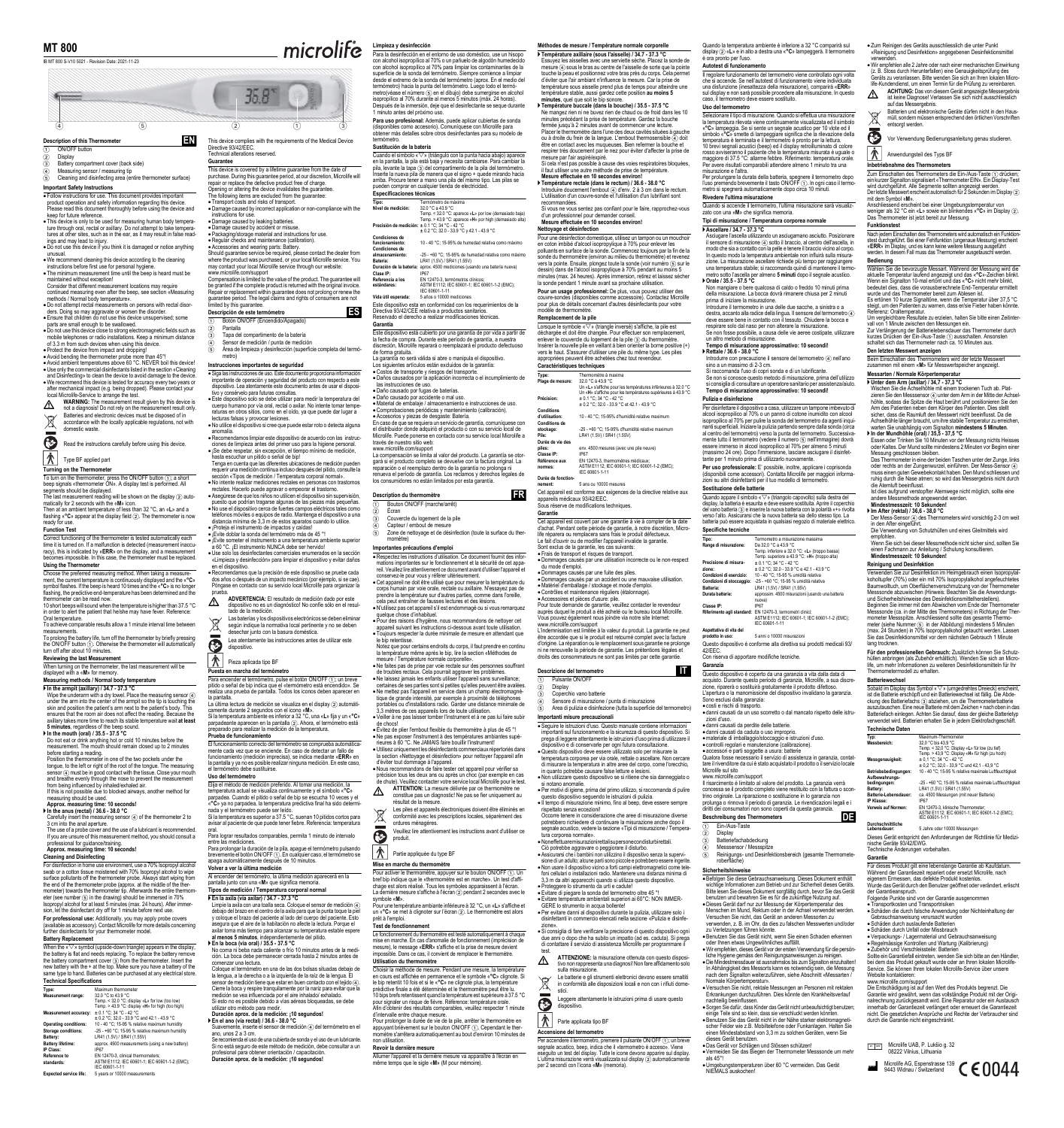**MT 800**

 $\overline{4}$  4  $\overline{5}$  5 2  $\overline{2}$  1  $\overline{3}$  3 **Description of this Thermometer** 

ON/OFF button

2 Display 3 Battery compartment cover (back side)

4 Measuring sensor / measuring tip 5 Cleaning and disinfecting area (entire thermometer surface)

**Important Safety Instructions**

• Follow instructions for use. This document provides important<br>product operation and safely information regarding this device.<br>Please read this document throughly before using the device and<br>keep for future reference.<br>• T

ings and may lead to injury. Do not use this device if you think it is damaged or notice anything

unusual.<br>
• We recommend cleaning this device according to the cleaning<br>
• We recommend cleaning instructions before first use for personal hygiene.<br>
• The minimum measurement film until the beep is heard must be<br>
• mainta

• Do not attempt recal measurements on persons with rectal disor-<br>
• Chorn stempt recal measurements on persons with rectal disor-<br>
• Ensure that children do not use this device unsupervised; some<br>
parts are small enough

MARNING: The measurement result given by this device is<br>not a diagnosis! Do not rely on the measurement result only.<br>Batteries and electronic devices must be disposed of in<br>accordance with the locally applicable regulation

 $\overline{\odot}$ 

Read the instructions carefully before using this device.

 $\left| \bigwedge^{\bullet} \right|$  Type BF applied part

**Turning on the Thermometer** To turn on the thermometer, press the ON/OFF button ①; a short<br>beep signals «thermometer ON». A display test is performed. All<br>segments should be displayed.

The last measurement reading will be shown on the display ② auto-<br>matically for 2 seconds with the «**M**» icon.

Then at an ambient temperature of less than 32 °C, an «L» and a<br>flashing «**°C**» appear at the display field ②. The thermometer is now<br>ready for use. **Function Test**

 $\overline{\text{Correct}}$  functioning of the thermometer is tested automatically equal to time it is turned on. If a malfunction is detected (measurement inaction is turned on. If a malfunction is detected (measurement ina racy), this is indicated by «**ERR**» on the display, and a measurement becomes impossible. In this case, the thermometer must be replaced. **Using the Thermometer**

Choose the preferred measuring method. When taking a measure-<br>ment, the current temperature is continuously displayed and the « $\mathbb{C}_9$ »<br>symbol flashes. If the beep is heard 10 times and the « $\mathbb{C}_9$ » is no longer<br>flas

Oral temperature. To achieve comparable results allow a 1 minute interval time between

measurements.<br>To prolong the battery life, turn off the thermometer by briefly pressing<br>the ON/OFF button ①. Otherwise the thermometer will automatically<br>turn off after about 10 minutes.

**Reviewing the last Measurement** When turning on the thermometer, the last measurement will be displayed with a «**M**» for memory.

**Measuring methods / Normal body temperature**

 **In the armpit (axillary) / 34.7 - 37.3 °C** Wipe the underarm with a dry towel. Place the measuring sensor ④<br>under the arm into the center of the armpit so the tip is touching the skin and position the patient's arm next to the patient's body. This ensures that the room air does not affect the reading. Because the axillary takes more time to reach its stable temperature wait **at least** 

**5 minutes**, regardless of the beep sound. **In the mouth (oral) / 35.5 - 37.5 °C**

Do not eat or drink anything hot or cold 10 minutes before the measurement. The mouth should remain closed up to 2 minutes before starting a reading. Position the thermometer in one of the two pockets under the

tongue, to the left or right of the root of the tongue. The measuring<br>sensor ④ must be in good contact with the tissue. Close your mouth<br>and breathe evenly through the nose to prevent the measurement<br>from being influenced

measure and the<br>uring should be used.

**Approx. measuring time: 10 seconds! In the anus (rectal) / 36.6 - 38.0 °C**

Carefully insert the measuring sensor ④ of the thermometer 2 to<br>3 cm into the anal aperture.

The use of a probe cover and the use of a lubricant is recommended. If you are unsure of this measurement method, you should consult a professional for guidance/training. **Approx. measuring time: 10 seconds! Cleaning and Disinfecting**

For disinfection in home use environment, use a 70% Isopropyl alcohol to<br>swab or a cotton tissue moistened with 70% Isopropyl alcohol to wipe<br>surface pollutants off the thermometer probe. Always start wiping from<br>the end o eter (see number ⑤ in the drawing) should be immersed in 70%<br>Isopropyl alcohol for at least 5 minutes (max. 24 hours). After immer-<br>sion, let the disinfectant dry off for 1 minute before next use.

**For professional use:** Additionally, you may apply probe covers<br>(available as accessory). Contact Microlife for more details concerning<br>further disinfectants for your thermometer model.

**Battery Replacement** When the  $\sqrt{\nu}$  symbol (upside-down triangle) appears in the display

the battery is flat and needs replacing. To replace the battery remove<br>the battery compartment cover (3) from the thermometer. Insert the<br>new battery with the + at the top. Make sure you have a battery of the<br>same type to

| Technical Specifications     |                                                                                                                                                                                                                                                                                                                                                  |  |
|------------------------------|--------------------------------------------------------------------------------------------------------------------------------------------------------------------------------------------------------------------------------------------------------------------------------------------------------------------------------------------------|--|
| Type:                        | Maximum thermometer                                                                                                                                                                                                                                                                                                                              |  |
| <b>Measurement range:</b>    | 32.0 °C to 43.9 °C<br>Temp. < 32.0 °C: display «L» for low (too low)<br>Temp. > 43.9 °C: display «H» for high (too high)                                                                                                                                                                                                                         |  |
| <b>Measurement accuracy:</b> | ± 0.1 °C; 34 °C - 42 °C<br>± 0.2 °C: 32.0 - 33.9 °C and 42.1 - 43.9 °C                                                                                                                                                                                                                                                                           |  |
| _                            | $\overline{10}$ , $\overline{10}$ , $\overline{10}$ , $\overline{10}$ , $\overline{10}$ , $\overline{10}$ , $\overline{10}$ , $\overline{10}$ , $\overline{10}$ , $\overline{10}$ , $\overline{10}$ , $\overline{10}$ , $\overline{10}$ , $\overline{10}$ , $\overline{10}$ , $\overline{10}$ , $\overline{10}$ , $\overline{10}$ , $\overline{$ |  |

Operating conditions: 10-40°C; 15-95 % relative maximum humidity<br>Storage conditions: 25 - 460 °C; 15-95 % relative maximum humidity<br>Battery : LR41 (1.5v) / SR41 (1.55v)<br>Battery lifetime: approx. 4500 measurements (using a

**Reference to standards:**

EN 12470-3, clinical thermometers; ASTM E1112; IEC 60601-1; IEC 60601-1-2 (EMC); IEC 60601-1-11

**Expected service life:** 5 years or 10000 measurements

microlife Para la desinfección en el entorno de uso doméstico, use un hisopo con alcohol isopropílico al 70% o un pañuelo de algodón humedecido con alcohol isopropílico al 70% para limpiar los contaminantes de la superficie de la sonda del termómetro. Siempre comience a limpiar<br>desde el extremo de la sonda del termómetro (aprox. En el medio del<br>termómetro) hacia la punta del termómetro. Luego todo el termó-<br>metro(véase el número isopropílico al 70% durante al menos 5 minutos (máx. 24 horas).

**Limpieza y desinfección**

Después de la inmersión, deje que el desinfectante se seque durante 1 minuto antes del próximo uso. **Para uso profesional:** Además, puede aplicar cubiertas de sonda (disponibles como accesorio). Comuníquese con Microlife para obtener más detalles sobre otros desinfectantes para su modelo de

#### termómetro.<br>Sustitución de la batería

**EN** This device complies with the requirements of the Medical Device<br>Directive 93/42/EEC.<br>Technical alterations reserved.

35.8

ge caused by accident or misuse

**Instrucciones importantes de seguridad**

1 Botón ON/OFF (Encendido/Apagado)

Tapa del compartimento de la batería 4 Sensor de medición / punta de medición 5 Área de limpieza y desinfección (superficie completa del termó-metro)

**Descripción de este tera** 

Pantalla

This device is covered by a lifetime guarantee from the date of<br>purchase. During this guarantee period, at our discretion, Microlife will<br>prepair or replace the defective product free of charge.<br>Opening or altering the de

● Packaging/storage material and instructions for use.<br>● Regular checks and maintenance (calibration).<br>● Accessories and wearing parts: Battery.<br>Should guarantee service be required, please contact the dealer from

where the product was purchased, or your local Microlife service. You<br>may contact your local Microlife service through our website:<br>www.microlife.com/support<br>Compensation is limited to the value of the product. The guarant

Repair or replacement within guarantee does not prolong or renew the guarantee period. The legal claims and rights of consumers are not limited by this guarantee.

**ES**

• Siga las instrucciones de uso. Este documento proporciona información importante de operación y seguridad del producto con respecto a este documento dispositivo. Lea atentamente este documento antes de usar el dispositi

raturas en otros sitios, como en el oído, ya que puede dar lugar a lecturas falsas y provocar lesiones. No utilice el dispositivo si cree que puede estar roto o detecta alguna anomalía. Recomendamos limpiar este dispositivo de acuerdo con las instruc-

ciones de limpieza antes del primer uso para la higiene personal.<br>• Se debe respetar, sin excepción, el tiempo mínimo de medición,<br>hasta escuchar un pitido o señal de bip!<br>Tenga en cuenta que las diferentes ubicaciones de

sección «Tipos de medición / Temperatura corporal normal». No intente realizar mediciones rectales en personas con trastornos rectales. Hacerlo puede agravar o empeorar el trastorno. Asegúrese de que los niños no utilicen el dispositivo sin supervisión, puesto que podrían tragarse algunas de las piezas más pequeñas.

• No use el dispositivo cerca de fuertes campos eléctricos tales como<br>telefónos móviles o equipos de radio. Mantenga el dispositivo a una<br>distancia mínima de 3,3 m de estos aparatos cuando lo utilice.<br>• [Proteja el instru

 $\bullet$  ¡Evite someter el instrumento a una temperatura ambiente superior<br>a 60 °C. ; [El instrumento NUNCA debe ser hervido!<br> $\bullet$  Use solo los desinfectantes comerciales enumerados en la sección<br>«Limpieza y desinfección» par

en el dispositivo.<br>• Recomendamos que la precisión de este dispositivo se pruebe cada<br>• dos años o después de un impacto mecánico (por ejemplo, si se cae).<br>• Póngase en contacto con su servicio local Microlife para organiz

**ADVERTENCIA:** El resultado de medición dado por este<br>dispositivo no es un diagnóstico! No confíe sólo en el resul-<br>tado de la medición.

**Puesta en marcha del termómetro**<br>Para encender el termómetro, pulse el botón ON/OFF ⊕; un breve<br>pitido o señal de bip indica que el «termómetro está encendido». Se<br>realiza una prueba de pantalla. Todos los iconos deben a

la pantalla. La última lectura de medición se visualiza en el display 2 automáti-camente durante 2 segundos con el icono «**M**». Si la temperatura ambiente es inferior a 32 °C, una «**L**» fija y un «**°C**» parpadeante aparecen en la pantalla 2. Ahora, el termómetro está preparado para realizar la medición de la temperatura. **Prueba de funcionamiento** El funcionamiento correcto del termómetro se comprueba automáticamente cada vez que se enciende. En caso de detectar un fallo de<br>funcionamiento (medición imprecisa), se indica mediante «**ERR**» en<br>la pantalla y ya no es posible realizar ninguna medición. En este caso,<br>el termómetro debe

**Uso del termómetro** Elija el método de medición preferido. Al tomar una medición, la temperatura actual se visualiza continuamente y el símbolo «**°C**» parpadea. Cuando el pitido o señal de bip se escucha 10 veces y el «**°C**» ya no parpadea, la temperatura predictiva final ha sido determinada y el termómetro puede ser leído. Si la temperatura es superior a 37.5 °C, suenan 10 pitidos cortos para avisar al paciente de que puede tener fiebre. Referencia: temperatura oral. Para lograr resultados comparables, permita 1 minuto de intervalo entre las mediciones.<br>Para prolongar la duración de la pila, apague el termómetro pulsando<br>brevemente el botón ON/OFF (ງ). En cualquier caso, el termómetro se<br>apaga automáticamente después de 10 minutos.

Al encender del termómetro, la última medición aparecerá en la pantalla junto con una «**M**» que significa memoria. **Tipos de medición / Temperatura corporal normal En la axila (vía axilar) / 34.7 - 37.3 °C**

Limpie la axila con una toalla seca. Coloque el sensor de medición (4)

debajo del brazo en el centro de la axila para que la punta toque la piel<br>y coloque el brazo del paciente al lado del cuerpo del paciente. Esto<br>asegura que el aire de la habitación no afecte la lectura. Porque el<br>axilar to

**Feral a boca (vía oral) / 35.5 - 37.5 °C**<br>No coma ni beba nada caliente o frío 10 minutos antes de la medi-<br>ción. La boca debe permanecer cerrada hasta 2 minutos antes de<br>comenzar una lectura. Coloque el termómetro en una de las dos bolsas situadas debajo de la lengua, a la derecha o a la izquierda de la raíz de la lengua. É sensor de medición tiene que estar en buen contacto con el tejido ④.<br>Cierre la boca y respire tranquilamente por la nariz para evitar que la<br>medición se vea influenciada por el aire inhalado/ exhalado. Si esto no es posible debido a vías aéreas bloqueadas, se debe utilizar otro método para medir. **Duración aprox. de la medición: ¡10 segundos!<br>▶ En el ano (vía rectal) / 36.6 - 38.0 °C<br>Suavemente, inserte el sensor de medición ④ del termómetro en el** 

Se recomienda el uso de una cubierta de sonda y el uso de un lubricante.<br>Si no está seguro de este método de medición, debe consultar a un<br>profesional para obtener orientación / capacitación.<br>Duración aprox. de la medición

Pieza aplicada tipo BF

**volver a ver la última medición**<br>**Volver a ver la última medición** 

ano, unos 2 a 3 cm.

Las baterías y los dispositivos electrónicos se deben eliminar según indique la normativa local pertinente y no se deben desechar junto con la basura doméstica. Lea atentamente las instrucciones antes de utilizar este dispositivo.

 $\Delta$ 

 $\mathbb{\widetilde{R}}$ 

 $\bar{\pmb{\circ}}$  $|\mathbf{\Lambda}|$ 

**Guarantee**

Sustitución de la bateria<br>Cuando el simbolo «<sup>Tyo</sup>» (trángulo con la punta hacia abajo) aparece<br>en la pantalla, la pila está baja y necesita cambiarse. Para cambiar la<br>pila, levante la tapa ③ del compartimento de la pila d **Especificaciones técnicas**

Tipo: Tipo: Tipo: Tipo: Tipo:<br>Nivel de medición: 32.0 °C a 43.9 °C<br>Temp. < 32.0 °C: aparece «L» por low (demasiado baja)<br>Precisión de medición: ± 0.1 °C; 34 °C - a 42 °C<br>Precisión de medición: ± 0.1 °C; 34 °C - 42 °C ± 0.2 °C; 32.0 - 33.9 °C y 42.1 - 43.9 °C **Condiciones de funcionamiento:** 10 - 40 °C; 15-95% de humedad relativa como máximo

**Condiciones de almacenamiento:** -25 - +60 °C; 15-95% de humedad relativa como máximo **Batería:** LR41 (1.5V) / SR41 (1.55V) **Duración de la batería:** aprox. 4500 mediciones (usando una batería nueva)

**Clase IP:** IP67 **Referencia a los estándares:** EN 12470-3, termómetros clínicos; ASTM E1112; IEC 60601-1; IEC 60601-1-2 (EMC); IEC 60601-1-11 **Vida útil esperada:** 5 años o 10000 mediciones

Este dispositivo esta en conformidad con los requerimientos de la Directiva 93/42/CEE relativa a productos sanitarios. Reservado el derecho a realizar modificaciones técnicas.

**Garantía**

Este dispositivo está cubierto por una garantía de por vida a partir de la fecha de compra. Durante este período de garantía, a nuestra discreción, Microlife reparará o reemplazará el producto defectuoso

de forma gratuita.<br>La garantia no será válida si abre o manipula el dispositivo.<br>Los siguientes artículos están excluidos de la garantia:<br>● Castos de transporte y riesgos del transporte.<br>● Daños causados por la aplicación

las instrucciones de uso.<br>• Daño causado por fugas de baterías.<br>• Daño causado por accidente o mal uso.<br>• Material de embalaje / almacenamiento e instrucciones de uso.<br>• Comprobaciones periódicas y mantenimiento (calibrac

www.microlife.com/support<br>La compensación se limita al valor del producto. La garantía se otor-<br>gará si el producto completo se devuelve con la factura original. La<br>reparación o el reemplazo dentro de la garantía no prolon **FR**

**Description du thermomètre** 

1 Bouton ON/OFF (marche/arrêt) 2 Écran

3 Couvercle du logement de la pile<br>4 Capteur / embout de mesure<br>5 Zone de nettoyage et de désinfection (toute la surface du ther-<br>momètre)

**Importantes précautions d'emploi** Respectez les instructions d'utilisation. Ce document fournit des infor-mations importantes sur le fonctionnement et la sécurité de cet appa-

reil. Veuillez lire attentivement ce document avant d'utiliser l'appareil et<br>conservez-le pour vous y référer ultérieurement.<br>• Cet appareil ne doit être utilisé que pour mesurer la température du<br>corps humain par voie ora

cela peut entraîner de fausses lectures et des lésions.<br>• N'utilisez pas cet appareil s'il est endommagé ou si vous remarquez<br>• Pour des raisons d'hygiène, nous recommandons de nettoyer cet<br>• Pour des raisons d'hygiène, no

Toujours respecter la durée minimale de mesure en attendant que<br>Te bip retentisse.<br>Notas que pour certains endroits du cerps, il faut proprio po contin

le bip retentisse.<br>Notez que pour certains endroits du corps, il faut prendre en continu<br>la température même après le bip, lire la section «Méthodes de<br>mesure / Température normale corporelle».

• Ne faites pas de prise par voie rectale sur des personnes souffrant<br>de troubles rectaux. Cela pourrait aggraver les problèmes.<br>• Ne laissez jamais les enfants utiliser l'appareil sans surveillance;<br>• certaines de ses par

tique de grande intensité, par exemple à proximité de téléphones<br>portables ou d'installations radio. Garder une distance minimale de<br>3,3 mètres de ces appareils lors de toute utilisation.<br>◆ Veiller à ne pas laisser tomber

de chocs! Évitez de plier l'embout flexible du thermomètre à plus de 45 °!

• Ne pas exposer l'instrument à des températures ambiantes supé-<br>nieures à 60 °C. Ne JAMAIS faire bouilir l'instrument!<br>• Utilisez uniquement les désinfectants commerciaux répertoriés dans<br>• la section «Nettoyage et désinf

d'éviter tout dommage à l'appareil. Nous recommandons de faire tester cet appareil pour vérifier sa

précision tous les deux ans ou après un choc (par exemple en cas<br>de chute). Veuillez contacter votre service local Microlife pour le test.<br>**A l'ATTENTION:** La mesure délivrée par ce thermomètre ne<br>constitue pas un diagnost  $\Delta$ 

Les piles et appareils électroniques doivent être éliminés en conformité avec les prescriptions locales, séparément des  $\boxtimes$ ordures ménagères.

 $\bar{\pmb{\Phi}}$ Veuillez lire attentivement les instructions avant d'utiliser ce produit.

 $|\mathbf{\Lambda}|$ Partie appliquée du type BF

**Mise en marche du thermomètre**

Pour activer le thermomètre, appuyer sur le bouton ON/OFF (j). Un<br>bref bip indique que le «thermomètre est en marche». Un test d'affi-<br>chage est alors réalisé. Tous les symboles apparaissent à l'écran.<br>La dernière mesure symbole «**M**».

*w* .<br>mpérature ambiante inférieure à 32 °C, un «L» s'affiche et<br>met à clignoter sur l'écran ⊘. Le thermomètre est alors un «<sup>o</sup>C» se met à clignoter sur l'écran (2). Le therm

prêt à l'emploi. **Test de fonctionnement** Le fonctionnement du thermomètre est testé automatiquement à chaque mise en marche. En cas d'anomalie de fonctionnement (imprécision de

mesure), le message «**ERR**» s'affiche et la prise de mesure devient impossible. Dans ce cas, il convient de remplacer le thermomètre. **Utilisation du thermomètre**

Choisir la méthode de mesure. Pendant une mesure, la températ en cours est affichée en permanence et le symbole « "C» clignote. Si<br>le bip retentit 10 fois et si le « "C» ne clignote plus, la température<br>prédictive finale a été déterminée et le thermomètre peut être lu.<br>10 bips brefs Afin d'obtenir des résultats comparables, veuillez respecter 1 minute

d'intervalle entre chaque mesure.<br>Pour prolonger la durée de vie de la pile, arrêter le thermomètre en<br>appuyant brièvement sur le bouton ON/OFF (ງ). Cependant le ther-<br>momètre s'arrêtera automatiquement au bout d'environ 1 non utilisation.

**Revoir la dernière mesure**

Allumer l'appareil et la dernière mesure va apparaître à l'écran en même temps que le sigle «**M**» (M pour mémoire).

**Méthodes de mesure / Température normale corporelle**

 **Température axillaire (sous l'aisselle) / 34.7 - 37.3 °C** Essuyez les aisselles avec une serviette sèche. Placez la sonde de mesure (a) sous le bras au centre de l'aisselle de sorte que la pointe<br>touche la peau et positionnez votre bras près du corps. Cela permet<br>d'éviter que l'air ambiant n'influence la mesure. Car la prise de<br>température sous **minutes**, quel que soit le bip sonore.<br>**minutes**, quel que soit le bip sonore.<br>**Température buccale (dans la bouche) / 35.5 - 37.5 °C** 

Quando la temperatura ambiente è inferiore a 32 °C comparirà sul display 2 «**L**» e in alto a destra una «**°C**» lampeggerà. Il termometro è ora pronto per l'uso.

● Zum Reinigen des Geräts ausschliesslich die unter Punkt<br>«Reinigung und Desinfektion» angegebenen Desinfektionsmittel<br>verwenden. Wir empfehlen alle 2 Jahre oder nach einer mechanischen Einwirkung (z. B. Stoss durch Herunterfallen) eine Genauigkeitsprüfung des Geräts zu veranlassen. Bitte wenden Sie sich an Ihren lokalen Micro-life-Kundendienst, um einen Termin für die Prüfung zu vereinbaren.

 **ACHTUNG:** Das von diesem Gerät angezeigte Messergebnis ist keine Diagnose! Verlassen Sie sich nicht ausschliesslich auf das Messergebnis. Batterien und elektronische Geräte dürfen nicht in den Haus-müll, sondern müssen entsprechend den örtlichen Vorschriften entsorgt werden.

Vor Verwendung Bedienungsanleitung genau studieren.

Zum Einschalten des Thermometers die Ein-/Aus-Taste ① drücken;<br>ein kurzer Signalton signalisiert «Thermometer EIN». Ein Display-Test<br>wird durchgeführt. Alle Segmente sollten angezeigt werden.<br>Der letzte Messwert erscheint

Anschliessend erscheint bei einer Umgebungstemperatur von weniger als 32 °C ein «**L**» sowie ein blinkendes «**°C**» im Display 2. Das Thermometer ist jetzt bereit zur Messung.

Nach jedem Einschalten des Thermometers wird automatisch ein Funktion-<br>stest durchgeführt. Bei einer Fehlfunktion (ungenaue Messung) erscheint<br>«ERR» im Display, und es kann keine weitere Messung ausgeführt<br>werden. In diese

Wählen Sie die bevorzugte Messart. Während der Messung wird die eineratur laufend American and Scheller Temperatur laufend angezeigt und das «°C»-Zeichen blinkt. Wenn ein Signalton 10-mal ertönt und das «°C»-richt mehr bli

Beim Einschalten des Thermometers wird der letzte Messwert zusammen mit einem «**M**» für Messwertspeicher angezeigt.

Wischen Sie die Achselhöhle mit einem trockenen Tuch ab. Plate<br>zieren Sie den Messensor (4) unter dem Arm in der Mitte der Achsel-<br>höhle, sodass die Spitze die Haut berührt und positionieren Sie den<br>Arm des Patienten neben

Essen oder Trinken Sie 10 Minuten vor der Messung nichts Heisses oder Kaltes. Der Mund sollte mindestens 2 Minuten vor Beginn einer Messung geschlossen bleiben.

Das Thermometer in eine der beiden Taschen unter der Zunge, links<br>oder rechts an der Zungenwurzel, einführen. Der Mess-Sensor (4)<br>muss einen guten Gewebekontakt haben. Den Mund schliessen und<br>ruhig durch die Nase atmen; so

Der Mess-Sensor ④ des Thermometers wird vorsichtig 2-3 cm weit<br>in den After eingeführt.<br>Die Verwendung von Schutzhüllen und eines Gleitmittels wird empfohlen. Wenn Sie sich bei dieser Messmethode nicht sicher sind, sollten Sie einen Fachmann zur Anleitung / Schulung konsultieren. **Mindestmesszeit: 10 Sekunden!**

In Sie zur Desinfektion im Heimgebrauch einen Isopropyla koholtupfer (70%) oder ein mit 70% Isopropylalkohol angefeuchtetes Baumwolltuch, um Oberflächenverschmutzung von der Thermometer Messsonde abzuwischen (Hinweis: Beachten Sie die Anwendungs-

Messsonde (ca. in der Mitte des Thermometers) in Richtung der Thermometer (siehe Nummer C) in der Abbildung) mindestens Thermometer (siehe Nummer C) in der Abbildung) mindestens 5 Minuten (max. 24 Stunden) in 70% Isopropyl

**Für den professionellen Gebrauch:** Zusätzlich können Sie Schutzhüllen anbringen (als Zubehör erhältlich). Wenden Sie sich an Micro-life, um mehr Informationen zu weiteren Desinfektionsmitteln für Ihr Thermometermodell zu erhalten.

Sobald im Display das Symbol «▽» (umgedrehtes Dreieck) erscheint, ist die Batterie erschöpft und ein Batterievechsel ist fällig. Die Abde-<br>ckung des Batteriefachs (3) abziehen, um die Thermometerbatterie<br>auszutauschen. Ei

Typ: Maximum-Thermometer<br>
Messbereich: Temp. < 32.0 °C bis 43.9 °C<br>
Temp. < 32.0 °C bis 43.9 °C<br>
Temp. > 43.9 °C: Display «H» für high (zu hoch)<br>
Messgenauigkeit: ± 0,1 °C; 34 °C -42 °C<br>
Messgenauigkeit: ± 0,2 °C; 32.0 3.3

bedingungen: 25 - +60 °C; 15-95 % relative maximale Luftfeuchtigkei<br>Battery: LR41 (1.5V) / SR41 (1.55V)<br>Batterie-Lebensdauer: ca. 4500 Messungen (mit neuer Batterie)

**Verweis auf Normen:** EN 12470-3, klinische Thermometer;<br>ASTM E1112; IEC 60601-1-1; IEC 60601-1-2; IEM<br>IEC 60601-1-11

5 Jahre oder 10000 Me

Dieses Gerät entspricht den Anforderungen der Richtlinie für Medizi-nische Geräte 93/42/EWG. Technische Änderungen vorbehalten.

Für dieses Produkt gilt eine lebenslange Garantie ab Kaufdatum.<br>Während der Garantiezeit repariert oder ersetzt Microlife, nach<br>eigenem Ermessen, das defekte Produkt kostenlos.<br>Wurde das Gerät durch den Benutzer geöffnet o eranneemspraam.<br>Inde Punkte sind von der Garantie ausgenommer Transportkosten und Transportrisiken Schäden die durch falsche Anwendung oder Nichteinhaltung der

● Verpackungs- / Lagermaterial und Gebrauchsanweisung<br>● Regelmässige Kontrollen und Wartung (Kalibrierung)<br>● Zubehör und Verschleissteile: Batterien<br>Sollte ein Garantiefall eintreten, wenden Sie sich bitte an den Händler, bei dem das Produkt gekauft wurde oder an Ihren lokalen Microlife-Service. Sie können Ihren lokalen Microlife-Service über unsere

Website kontaktieren:<br>
www.microifie.com/support<br>
www.microifie.com/support<br>
Die Entschädigung ist auf den Wert des Produkts begrenzt. Die<br>
Garantie wird gewährt, wenn das vollständige Produkt mit der Origi-<br>
nalrechnung z

Gebrauchsanweisung verursacht wurden Schäden durch auslaufende Batterien Schäden durch Unfall oder Missbrauch

**EC REP** Microlife UAB, P. Lukšio g. 32<br>
08222 Vilnius, Lithuania Microlife AG, Espenstrasse 139 9443 Widnau / Switzerland

Anwendungsteil des Typs BF **Inahme des Thermometer** 

mit dem Symbol «**M**».<br>Anschliessend ersche

**Funktionstest**

**Bedienung**

**Den letzten Messwert anzeigen**

**Mindestmesszeit: 10 Sekunden! Im After (rektal) / 36,6 - 38,0 °C**

**Reinigung und Desinfektion**

lang trocknen.

**Batteriewechsel**

**Technische Daten**

**Aufbewahrungs-**<br> **Aufbewahrungs-**<br> **Battery:**<br> **Batterie-Lebensdauer:** 

**Dans...**<br>IP Klasse:<br>Verweis auf Normen:

**Durchschnittliche** 

und Sicherheitshinweise des Desinfektionsmitte Beginnen Sie immer mit dem Abwischen vom Ende der Th

**Messarten / Normale Körpertemperatur Unter dem Arm (axillar) / 34,7 - 37,3 °C**

 $\wedge$ 

 $\cancel{R}$  $\bar{\bm{e}}$  $|\mathbf{\dot{N}}|$ 

Il regolare funzionamento del termometro viene controllato ogni volta<br>che si accende. Se nell'autotest di funzionamento viene individuata<br>una disfunzione (inesattezza della misurazione), comparirà «ERR»<br>sul display e non s

zionare il tipo di misurazione. Quando si effettua una mis<br>prografura rilevata viene continuamente visualizzata ed

la temperatura rilevata viene continuamente visualizzata ed il simbolo «°C» lampeggia. Se si sente un segnale acustico per 10 vlote ed il simbolo «°C» smette di lampeggiare significa che la rilevazione della temperatura è

Per prolungare la durata della batteria, spegnere il termometro dopo<br>l'uso premendo brevemente il tasto ON/OFF (יָהַ). In ogni caso il termo-<br>metro si spegnerà automaticamente dopo circa 10 minuti.

Quando si accende il termometro, l'ultima misurazione sarà visualiz-

In questo modo la temperatura ambientale non influira sulla misura-<br>zione. La misurazione ascellare richiede più tempo per raggiungere<br>una temperatura stabile; si raccomanda quindi di mantenere il termo-<br>metro sotto l'asce

Non mangiare o bere qualcosa di caldo o freddo 10 minuti prima<br>della misurazione. La bocca dovrà rimanere chiusa per 2 minuti<br>prima di iniziare la misurazione.<br>Introdurre il termometro in una delle due sacche, a sinistra o

destra, accanto alla radicie della lingua. Il sensore del termometro ④<br>deve essere bene in contatto con il tessuto. Chiudere la bocca e<br>respirare solo dal naso per non alterare la misurazione.<br>Se non fosse possibile, a cau

Introdurre con precauzione il sensore del termometro ④ nell'ano<br>sino a un massimo di 2-3 cm.<br>Si raccomanda l'uso di copri sonda e di un lubrificante.<br>Se non si conosce questo metodo di misurazione, prima dell'utilizzo<br>si c

Per disinfettare il dispositivo a casa, utilizzare un tampone imbevuto di alcool isopropilico al 70% o un panno di cotone inumidito con alcool isopropilico al 70% per pulire la sonda del termometro da agenti inqui-nanti superficiali. Iniziare la pulizia partendo sempre dalla sonda (circa

al centro del termometro) verso la punta del termometro. Successiva-<br>mente tutto il termometro (vedere il numero  $\circledcirc$  nell'immagine) dovrà<br>essere immerso in alcool isopropilico al 70% per almeno 5 minuti<br>(massimo 24 ore) **Per uso professionale:** E' possibile, inoltre, applicare i coprisonda (disponibili come accessori). Contatta Microlife per maggiori informa-zioni su altri disinfettanti per il tuo modello di termometro.

Quando appare il simbolo «∇» (triangolo capovolto) sulla destra del<br>display, la batteria è esaurita e deve essere sostituita. Aprire il coperchio<br>del vano batteria ③ e inserire la nuova batteria con la polarità «+» rivolt verso l'alto. Assicurarsi che la nuova batteria sia dello stesso tipo. La batteria può essere acquistata in qualsiasi negozio di materiale elettrico.

Ti**po:** Termometro a misurazione massima<br>**Range di misurazione:** Da 32.0 °C a 43.9 °C<br>Temp. inferiore a 32.0 °C: «**L**» (troppo bassa)<br>Temp. superiore a 43.9 °C: «H» (troppo alta)

Precisione di misura $\pm 0.1\degree$  (3, 34 °C - 42 °C e 42.1 - 43.9 °C<br>Condizioni di esercizio:  $10 - 40\degree$ C; 15-95 % umidità relativa<br>Condizioni di stoccaggio:  $-25 - +60\degree$ C; 15-95 % umidità relativa<br>Condizioni di stoccaggio:

**Durata batterie:** approssim. 4500 misurazioni (usando una batteria nuova) **Classe IP:** IP67 **Riferimento agli standard:** EN 12470-3, termometri clinici; ASTM E1112; IEC 60601-1; IEC 60601-1-2 (EMC); IEC 60601-1-11

Questo dispositivo è conforme alla direttiva sui prodotti medicali 93/

**prodotto in uso:** 5 anni o 10000 misurazioni

Questo dispositivo è coperto da una garanzia a vita dalla data di<br>acquisto. Durante questo periodo di garanzia, Microlife, a sua discre-<br>zione, riparerà o sostituirà gratuitamente il prodotto difettoso.<br>L'apertura o la ma

danni causati da un uso scorretto o dal mancato rispetto delle istru-

Qualora fosse necessario il servizio di assistenza in garanzia, contat-tare il rivenditore da cui è stato acquistato il prodotto o il servizio locale Microlife sul sito

 Befolgen Sie diese Gebrauchsanweisung. Dieses Dokument enthält wichtige Informationen zum Betrieb und zur Sicherheit dieses Geräts. Bitte lesen Sie dieses Dokument sorgfältig durch, bevor Sie das Gerät benutzen und bewahren Sie es für die zukünftige Nutzung auf.

5 Reinigungs- und Desinfektionsbereich (gesamte Thermomete-roberfläche)

**DE**

**Garantie**

● Dieses Gerät darf nur zur Messung der Körpertemperatur des<br>Menschen im Mund, Rektum oder in der Achsel verwendet werden.<br>Versuchen Sie nicht, das Gerät an anderen Messorten zu<br>verwenden, z. B. im Ohr, da dies zu falsche Benutzen Sie das Gerät nicht, wenn Sie einen Schaden erkennen oder Ihnen etwas Ungewöhnliches auffällt.<br>● Wir empfehlen, dieses Gerät vor der ersten Verwendung für die persön-<br>liche Hygiene gemäss den Reinigungsanweisungen zu reinigen.<br>● Die Mindestmessdauer ist ausnahmslos bis zum In Abhängigkeit des Messorts kann es notwendig sein, die Messung nach dem Signalton weiterzuführen, siehe Abschnitt «Messarten / Normale Körpertemperatur». Versuchen Sie nicht, rektale Messungen an Personen mit rektalen Erkrankungen durchzuführen. Dies könnte den Krankheitsverlauf

nachteiliig beeinflussen.<br>● Sorgen Sie dafür, dass Kinder das Gerät nicht unbeaufsichtigt benutzen;<br>● einige Teile sind so klein, dass sie verschluckt werden könnten.<br>● Benutzen Sie das Gerät nicht in der Nähe starker ele

einen Mindestabstand von 3,3 m zu solchen Geräten, wenn Sie dieses Gerät benutzen. Das Gerät vor Schlägen und Stössen schützen! Vermeiden Sie das Biegen der Thermometer Messsonde um mehr als 45°!

Umgebungstemperaturen über 60 °C vermeiden. Das Gerät NIEMALS auskochen!

Il risarcimento è limitato al valore del prodotto. La garanzia verrà concessa se il prodotto completo viene restituito con la fattura o scontrino originale. La riparazione o sostituzione in lo garanzia non<br>prolunga o rinnova il periodo di garanzia. Le rivendicazioni legali e i<br>prolunga o ri

zioni d'uso.<br>● danni causati da perdite delle batterie.<br>● danni causati da caduta o uso improprio.<br>● materiale di imballaggio/stoccaggio e istruzioni d'uso.<br>● controlli regolari e manutenzione (calibrazione).<br>● accessori

www.microlife.com/support

Ein-/Aus-Taste Display **Batteriefachabdeckung** Messsensor / Messspitze

**Sicherheitshinweise**

**Beschreibung des Thermometers** 

42/EEC. Con riserva di apportare modifiche tecniche.

**Tempo di misurazione approssimativo: 10 secondi! Rettale / 36.6 - 38.0 °C**

**Tempo di misurazione approssimativo: 10 secondi!**

**Pulizia e disinfezione**

**Sostituzione delle batterie**

**Specifiche tecniche**

**Precisione di misura**zione:<br>Condizioni di esercizio:<br>Condizioni di stoccaggi

**Aspettativa di vita del** 

**Autorist di funzional** 

**Uso del termometro**

**Rivedere l'ultima misurazione**

zato con una «**M**» che significa memoria. **Tipi di misurazione / Temperatura corporea normale Ascellare / 34.7 - 37.3 °C** Asciugare l'ascella utilizzando un asciugamano asciutto. Posizionare il sensore di misurazione ④ sotto il braccio, al centro dell'ascella, in<br>modo che sia a contatto con la pelle e tenere il braccio vicino al corpo.

**Fempérature buccale (dans la bouche) / 35.5 - 37.5 °C**<br>Ne mangez rien ni ne buvez rien de chaud ou de froid dans les 10<br>minutes précédant la prise de température. Gardez la bouche<br>fermée jusqu'à 2 minutes avant de comme

Mesure effectuée en 10 secondes environ!<br>▶ Température rectale (dans le rectum) / 36.6 - 38.0 °C<br>Introduire doucement l'embout ⊕ d'env. 2 à 3 cm dans le rectum.<br>L'utilisation d'un couvre-sonde et l'utilisation d'un lubrif

recommandées. Si vous ne vous sentez pas confiant pour le faire, rapprochez-vous

Pour une désinfection domestique, utilisez un tampon ou un mouchoir<br>en coton imbibé d'alcool isopropylique à 70% pour enlever les<br>polluants en surface de la sonde. Commencez toujours par la fin de la<br>sonde du thermomètre ( sonde du tnermometre (environ au milieu du thermometre) et revenez<br>vers la pointe. Ensuite, plongez toute la sonde (voir numéro ⑤ sur le dessin) dans de l'alcool isopropylique à 70% pendant au moins 5 minutes (max. 24 heures). Après immersion, retirez et laissez sécher la sonde pendant 1 minute avant sa prochaine utilisation.

**Pour un usage professionnel:** De plus, vous pouvez utiliser des<br>couvre-sondes (disponibles comme accessoire). Contactez Microlife<br>pour plus de détails concernant d'autres désinfectants pour votre<br>modèle de thermomètre.

Lorsque le symbole «▽» (ritangle inversé) s'affiche, la pile est<br>déchargée et doit être changée. Pour effectuer son remplacement,<br>enlever le couvercle du logement de la pile ③ du thermomètre.<br>Insérer la nouvelle pile en v

**Type:**<br>**Plage de mesure: 32.0 °C à 43.9 °C**<br>Un «L» s'affiche pour les températures inférieures à 32.0 °C<br>Un «**H**» s'affiche pour les températures supérieures à 43.9 °C

**d'utilisation:** 10 - 40 °C; 15-95% d'humidité relative maximum

**piles:** env. 4500 mesures (avec une pile neuve)

Cet appareil est conforme aux exigences de la directive relative aux appareils médicaux 93/42/EEC.

Cet appareil est couvert par une garantie à vie à compter de la date<br>d'achat. Pendant cette période de garantie, à notre discrétion, Micro-<br>life réparera ou remplacera sans frais le produit défectueux.<br>Le fait d'ouvrir ou

Sont exclus de la garantie, les cas suivants: Frais de transport et risques de transport. Dommages causés par une utilisation incorrecte ou le non-respect

 Dommages causés par un accident ou une mauvaise utilisation. Matériel d'emballage / stockage et mode d'emploi. Contrôles et maintenance réguliers (étalonnage). Accessoires et pièces d'usure: pile. Pour toute demande de garantie, veuillez contacter le revendeur auprès duquel le produit a été acheté ou le bureau local Microlife. Vous pouvez également nous joindre via notre site Internet: www.microlife.com/support L'indemnisation est limitée à la valeur du produit. La garantie ne peut être accordée que si le produit est retourné complet avec la facture d'origine. La réparation ou le remplacement sous garantie ne prolonge ni ne renouvelle la période de garantie. Les prétentions légales et droits des consommateurs ne sont pas limités par cette garantie.

• Seguire le istruzioni d'uso. Questo manuale contiene informazioni importanti sul funzionamento e la sicurezza di questo dispositivo. Si prega di leggere attentamente le istruzioni d'uso prima di utilizzare il dispositivo

**IT**

**Garanzia**

Sensore di misurazione / punta di misurazione 5 Area di pulizia e disinfezione (tutta la superficie del termometro)

si notano anomalie. Per motivi di igiene, prima del primo utilizzo, si raccomanda di pulire questo dispositivo seguendo le istruzioni di pulizia.

• Il tempo di misurazione minimo, fino al beep, deve essere sempre<br>rispettato senza eccezioni!<br>Occorre tenere in considerazione che aree di misurazione diverse<br>potrebbero richiedere di continuare la misurazione anche dopo

Ciò potrebbe aggravare o peggiorare il disturbo.<br>Assicurarsi che i bambini non utilizzino il dispositivo senza la superv

• Assicurarsi che i bambini non utilizzino il dispositivo senza la supervi-<br>sione di un adulto; alcune parti sono piccole e potrebbero essere ingerit:<br>• Non usare il dispositivo vicino a forti campi elettromagnetici come

zione». Si consiglia di fare verificare la precisione di questo dispositivo ogni due anni o dopo che ha subito un impatto (ad es. caduta). Si prega di contattare il servizio di assistenza Microlife per programmare il

**ATTENZIONE:** la misurazione ottenuta con questo dispositivo non rappresenta una diagnosi! Non fare affidamento solo sulla misurazione.<br>
∠ Le batterie e gli strumenti elettronici devono essere smaltiti in conformità alle

Leggere attentamente le istruzioni prima di usare questo dispositivo.

Per accendere il termometro, premere il pulsante ON/OFF (1); un breve segnale acustico, beep, indica che il «termometro è acceso». Viene<br>eseguito un test del display. Tutte le icone devono apparire sul display.<br>L'ultima misurazione verrà visualizzata sul display ② automaticamente

Parte applicata tipo BF **Accensione del termometro**

per 2 secondi con l'icona «**M**» (memoria).

test.  $\Delta$ 

 $\cancel{R}$  $\overline{\mathbf{6}}$ 

 $|\mathbf{\Lambda}|$ 

Sous réserve de modifications techniques.

du mode d'emploi. Dommages causés par une fuite des piles.

**Descrizione del termometro** 

Pulsante ON/OFF 2 Display 3 Coperchio vano batterie

**Instanti misure precauzionali** 

**Garantie**

**Conditions**<br>**d'utilisations** 

**Conditions de** 

**Durée de vie des** 

**Référence aux normes:** Durée de fonction<br>nement:

appropriées peuvent être achetées chez tout revendeur.

**Précision:**  $\pm 0.1\degree$ C; 34 °C - 42 °C<br> $\pm 0.2\degree$ C; 32.0 - 33.9 °C et 42.1 - 43.9 °C

**stockage:** -25 - +60 °C; 15-95% d'humidité relative maximum **Pile:** LR41 (1.5V) / SR41 (1.55V)

**Classe IP:** IP67 EN 12470-3, thermomètres médicaux; ASTM E1112; IEC 60601-1; IEC 60601-1-2 (EMC); IEC 60601-1-11

**nement:** 5 ans ou 10000 mesures

d'un professionnel pour demander conseil. **Mesure effectuée en 10 secondes environ! Nettoyage et désinfection**

**Remplacement de la pile**

**Caractéristiques techniques**<br> **Type:** Thermomètre<br>
Plage de mesure:  $32.0^{\circ}$ C à 43.9<br>  $^{11}$ Plage de mesure:  $^{21}$ Plage de film